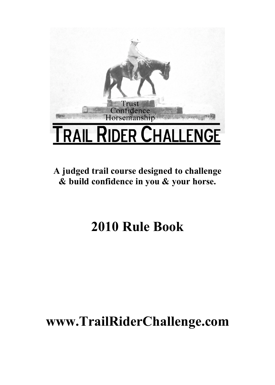

**A judged trail course designed to challenge & build confidence in you & your horse.**

# **2010 Rule Book**

# **www.TrailRiderChallenge.com**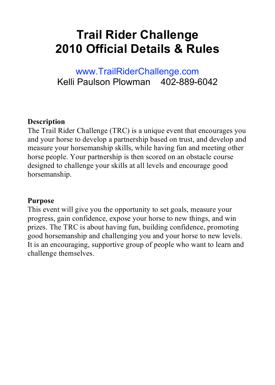# **Trail Rider Challenge 2010 Official Details & Rules**

### www.TrailRiderChallenge.com Kelli Paulson Plowman 402-889-6042

#### **Description**

The Trail Rider Challenge (TRC) is a unique event that encourages you and your horse to develop a partnership based on trust, and develop and measure your horsemanship skills, while having fun and meeting other horse people. Your partnership is then scored on an obstacle course designed to challenge your skills at all levels and encourage good horsemanship.

#### **Purpose**

This event will give you the opportunity to set goals, measure your progress, gain confidence, expose your horse to new things, and win prizes. The TRC is about having fun, building confidence, promoting good horsemanship and challenging you and your horse to new levels. It is an encouraging, supportive group of people who want to learn and challenge themselves.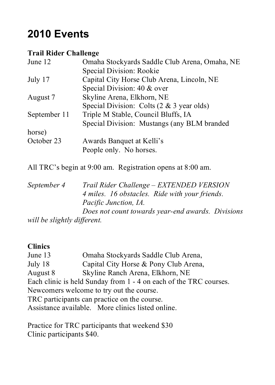## **2010 Events**

#### **Trail Rider Challenge**

| June 12      | Omaha Stockyards Saddle Club Arena, Omaha, NE        |
|--------------|------------------------------------------------------|
|              | Special Division: Rookie                             |
| July 17      | Capital City Horse Club Arena, Lincoln, NE           |
|              | Special Division: 40 & over                          |
| August 7     | Skyline Arena, Elkhorn, NE                           |
|              | Special Division: Colts $(2 \& 3 \text{ year}$ olds) |
| September 11 | Triple M Stable, Council Bluffs, IA                  |
|              | Special Division: Mustangs (any BLM branded          |
| horse)       |                                                      |
| October 23   | Awards Banquet at Kelli's                            |
|              | People only. No horses.                              |
|              |                                                      |

All TRC's begin at 9:00 am. Registration opens at 8:00 am.

*September 4 Trail Rider Challenge – EXTENDED VERSION 4 miles. 16 obstacles. Ride with your friends. Pacific Junction, IA. Does not count towards year-end awards. Divisions will be slightly different.*

#### **Clinics**

June 13 Omaha Stockyards Saddle Club Arena, July 18 Capital City Horse & Pony Club Arena, August 8 Skyline Ranch Arena, Elkhorn, NE Each clinic is held Sunday from 1 - 4 on each of the TRC courses. Newcomers welcome to try out the course. TRC participants can practice on the course. Assistance available. More clinics listed online.

Practice for TRC participants that weekend \$30 Clinic participants \$40.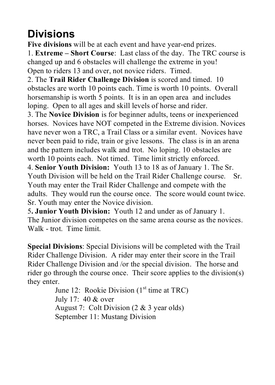## **Divisions**

**Five divisions** will be at each event and have year-end prizes. 1. **Extreme – Short Course**: Last class of the day. The TRC course is changed up and 6 obstacles will challenge the extreme in you! Open to riders 13 and over, not novice riders. Timed.

2. The **Trail Rider Challenge Division** is scored and timed. 10 obstacles are worth 10 points each. Time is worth 10 points. Overall horsemanship is worth 5 points. It is in an open area and includes loping. Open to all ages and skill levels of horse and rider.

3. The **Novice Division** is for beginner adults, teens or inexperienced horses. Novices have NOT competed in the Extreme division. Novices have never won a TRC, a Trail Class or a similar event. Novices have never been paid to ride, train or give lessons. The class is in an arena and the pattern includes walk and trot. No loping. 10 obstacles are worth 10 points each. Not timed. Time limit strictly enforced. 4. **Senior Youth Division:** Youth 13 to 18 as of January 1. The Sr. Youth Division will be held on the Trail Rider Challenge course. Sr. Youth may enter the Trail Rider Challenge and compete with the adults. They would run the course once. The score would count twice. Sr. Youth may enter the Novice division.

5**. Junior Youth Division:** Youth 12 and under as of January 1. The Junior division competes on the same arena course as the novices. Walk - trot. Time limit.

**Special Divisions**: Special Divisions will be completed with the Trail Rider Challenge Division. A rider may enter their score in the Trail Rider Challenge Division and /or the special division. The horse and rider go through the course once. Their score applies to the division(s) they enter.

June 12: Rookie Division  $(1<sup>st</sup>$  time at TRC) July 17: 40 & over August 7: Colt Division (2 & 3 year olds) September 11: Mustang Division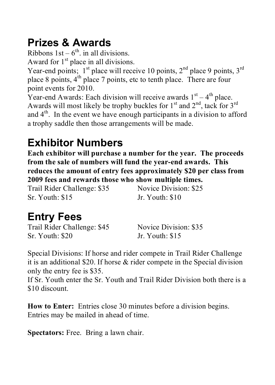## **Prizes & Awards**

Ribbons  $1st - 6<sup>th</sup>$ . in all divisions. Award for  $1<sup>st</sup>$  place in all divisions.

Year-end points;  $1<sup>st</sup>$  place will receive 10 points,  $2<sup>nd</sup>$  place 9 points,  $3<sup>rd</sup>$ place 8 points, 4<sup>th</sup> place 7 points, etc to tenth place. There are four point events for 2010.

Year-end Awards: Each division will receive awards  $1<sup>st</sup> - 4<sup>th</sup>$  place. Awards will most likely be trophy buckles for  $1<sup>st</sup>$  and  $2<sup>nd</sup>$ , tack for  $3<sup>rd</sup>$ and  $4<sup>th</sup>$ . In the event we have enough participants in a division to afford a trophy saddle then those arrangements will be made.

## **Exhibitor Numbers**

**Each exhibitor will purchase a number for the year. The proceeds from the sale of numbers will fund the year-end awards. This reduces the amount of entry fees approximately \$20 per class from 2009 fees and rewards those who show multiple times.**

Trail Rider Challenge: \$35 Novice Division: \$25 Sr. Youth: \$15 Jr. Youth: \$10

## **Entry Fees**

Trail Rider Challenge: \$45 Novice Division: \$35 Sr. Youth: \$20 Jr. Youth: \$15

Special Divisions: If horse and rider compete in Trail Rider Challenge it is an additional \$20. If horse & rider compete in the Special division only the entry fee is \$35.

If Sr. Youth enter the Sr. Youth and Trail Rider Division both there is a \$10 discount.

**How to Enter:** Entries close 30 minutes before a division begins. Entries may be mailed in ahead of time.

**Spectators:** Free. Bring a lawn chair.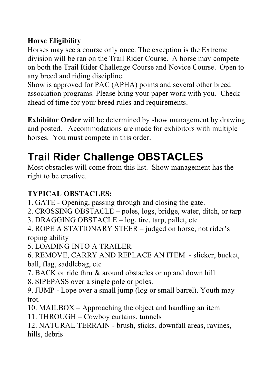### **Horse Eligibility**

Horses may see a course only once. The exception is the Extreme division will be ran on the Trail Rider Course. A horse may compete on both the Trail Rider Challenge Course and Novice Course. Open to any breed and riding discipline.

Show is approved for PAC (APHA) points and several other breed association programs. Please bring your paper work with you. Check ahead of time for your breed rules and requirements.

**Exhibitor Order** will be determined by show management by drawing and posted. Accommodations are made for exhibitors with multiple horses. You must compete in this order.

## **Trail Rider Challenge OBSTACLES**

Most obstacles will come from this list. Show management has the right to be creative.

### **TYPICAL OBSTACLES:**

- 1. GATE Opening, passing through and closing the gate.
- 2. CROSSING OBSTACLE poles, logs, bridge, water, ditch, or tarp
- 3. DRAGGING OBSTACLE log, tire, tarp, pallet, etc
- 4. ROPE A STATIONARY STEER judged on horse, not rider's roping ability
- 5. LOADING INTO A TRAILER
- 6. REMOVE, CARRY AND REPLACE AN ITEM slicker, bucket, ball, flag, saddlebag, etc
- 7. BACK or ride thru & around obstacles or up and down hill
- 8. SIPEPASS over a single pole or poles.
- 9. JUMP Lope over a small jump (log or small barrel). Youth may trot.
- 10. MAILBOX Approaching the object and handling an item
- 11. THROUGH Cowboy curtains, tunnels
- 12. NATURAL TERRAIN brush, sticks, downfall areas, ravines, hills, debris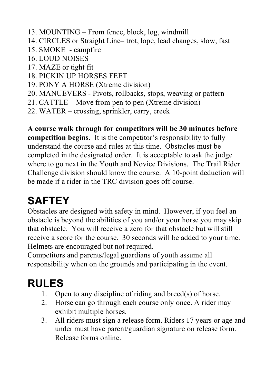- 13. MOUNTING From fence, block, log, windmill
- 14. CIRCLES or Straight Line– trot, lope, lead changes, slow, fast
- 15. SMOKE campfire
- 16. LOUD NOISES
- 17. MAZE or tight fit
- 18. PICKIN UP HORSES FEET
- 19. PONY A HORSE (Xtreme division)
- 20. MANUEVERS Pivots, rollbacks, stops, weaving or pattern
- 21. CATTLE Move from pen to pen (Xtreme division)
- 22. WATER crossing, sprinkler, carry, creek

**A course walk through for competitors will be 30 minutes before competition begins**. It is the competitor's responsibility to fully understand the course and rules at this time. Obstacles must be completed in the designated order. It is acceptable to ask the judge where to go next in the Youth and Novice Divisions. The Trail Rider Challenge division should know the course. A 10-point deduction will be made if a rider in the TRC division goes off course.

# **SAFTEY**

Obstacles are designed with safety in mind. However, if you feel an obstacle is beyond the abilities of you and/or your horse you may skip that obstacle. You will receive a zero for that obstacle but will still receive a score for the course. 30 seconds will be added to your time. Helmets are encouraged but not required.

Competitors and parents/legal guardians of youth assume all responsibility when on the grounds and participating in the event.

## **RULES**

- 1. Open to any discipline of riding and breed(s) of horse.
- 2. Horse can go through each course only once. A rider may exhibit multiple horses.
- 3. All riders must sign a release form. Riders 17 years or age and under must have parent/guardian signature on release form. Release forms online.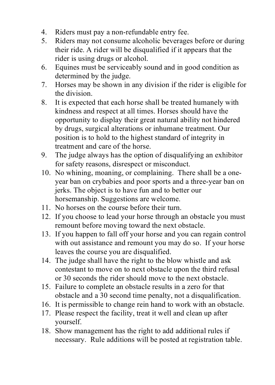- 4. Riders must pay a non-refundable entry fee.
- 5. Riders may not consume alcoholic beverages before or during their ride. A rider will be disqualified if it appears that the rider is using drugs or alcohol.
- 6. Equines must be serviceably sound and in good condition as determined by the judge.
- 7. Horses may be shown in any division if the rider is eligible for the division.
- 8. It is expected that each horse shall be treated humanely with kindness and respect at all times. Horses should have the opportunity to display their great natural ability not hindered by drugs, surgical alterations or inhumane treatment. Our position is to hold to the highest standard of integrity in treatment and care of the horse.
- 9. The judge always has the option of disqualifying an exhibitor for safety reasons, disrespect or misconduct.
- 10. No whining, moaning, or complaining. There shall be a oneyear ban on crybabies and poor sports and a three-year ban on jerks. The object is to have fun and to better our horsemanship. Suggestions are welcome.
- 11. No horses on the course before their turn.
- 12. If you choose to lead your horse through an obstacle you must remount before moving toward the next obstacle.
- 13. If you happen to fall off your horse and you can regain control with out assistance and remount you may do so. If your horse leaves the course you are disqualified.
- 14. The judge shall have the right to the blow whistle and ask contestant to move on to next obstacle upon the third refusal or 30 seconds the rider should move to the next obstacle.
- 15. Failure to complete an obstacle results in a zero for that obstacle and a 30 second time penalty, not a disqualification.
- 16. It is permissible to change rein hand to work with an obstacle.
- 17. Please respect the facility, treat it well and clean up after yourself.
- 18. Show management has the right to add additional rules if necessary. Rule additions will be posted at registration table.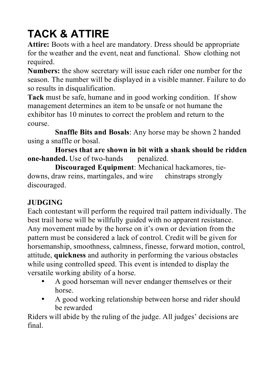# **TACK & ATTIRE**

**Attire:** Boots with a heel are mandatory. Dress should be appropriate for the weather and the event, neat and functional. Show clothing not required.

**Numbers:** the show secretary will issue each rider one number for the season. The number will be displayed in a visible manner. Failure to do so results in disqualification.

**Tack** must be safe, humane and in good working condition. If show management determines an item to be unsafe or not humane the exhibitor has 10 minutes to correct the problem and return to the course.

**Snaffle Bits and Bosals**: Any horse may be shown 2 handed using a snaffle or bosal.

**Horses that are shown in bit with a shank should be ridden one-handed.** Use of two-hands penalized.

**Discouraged Equipment**: Mechanical hackamores, tiedowns, draw reins, martingales, and wire chinstraps strongly discouraged.

### **JUDGING**

Each contestant will perform the required trail pattern individually. The best trail horse will be willfully guided with no apparent resistance. Any movement made by the horse on it's own or deviation from the pattern must be considered a lack of control. Credit will be given for horsemanship, smoothness, calmness, finesse, forward motion, control, attitude, **quickness** and authority in performing the various obstacles while using controlled speed. This event is intended to display the versatile working ability of a horse.

- A good horseman will never endanger themselves or their horse.
- A good working relationship between horse and rider should be rewarded

Riders will abide by the ruling of the judge. All judges' decisions are final.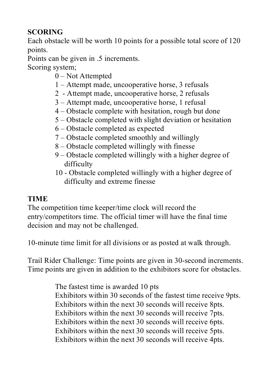### **SCORING**

Each obstacle will be worth 10 points for a possible total score of 120 points.

Points can be given in .5 increments.

Scoring system;

- 0 Not Attempted
- 1 Attempt made, uncooperative horse, 3 refusals
- 2 Attempt made, uncooperative horse, 2 refusals
- 3 Attempt made, uncooperative horse, 1 refusal
- 4 Obstacle complete with hesitation, rough but done
- 5 Obstacle completed with slight deviation or hesitation
- 6 Obstacle completed as expected
- 7 Obstacle completed smoothly and willingly
- 8 Obstacle completed willingly with finesse
- 9 Obstacle completed willingly with a higher degree of difficulty
- 10 Obstacle completed willingly with a higher degree of difficulty and extreme finesse

### **TIME**

The competition time keeper/time clock will record the entry/competitors time. The official timer will have the final time decision and may not be challenged.

10-minute time limit for all divisions or as posted at walk through.

Trail Rider Challenge: Time points are given in 30-second increments. Time points are given in addition to the exhibitors score for obstacles.

> The fastest time is awarded 10 pts Exhibitors within 30 seconds of the fastest time receive 9pts. Exhibitors within the next 30 seconds will receive 8pts. Exhibitors within the next 30 seconds will receive 7pts. Exhibitors within the next 30 seconds will receive 6pts. Exhibitors within the next 30 seconds will receive 5pts. Exhibitors within the next 30 seconds will receive 4pts.